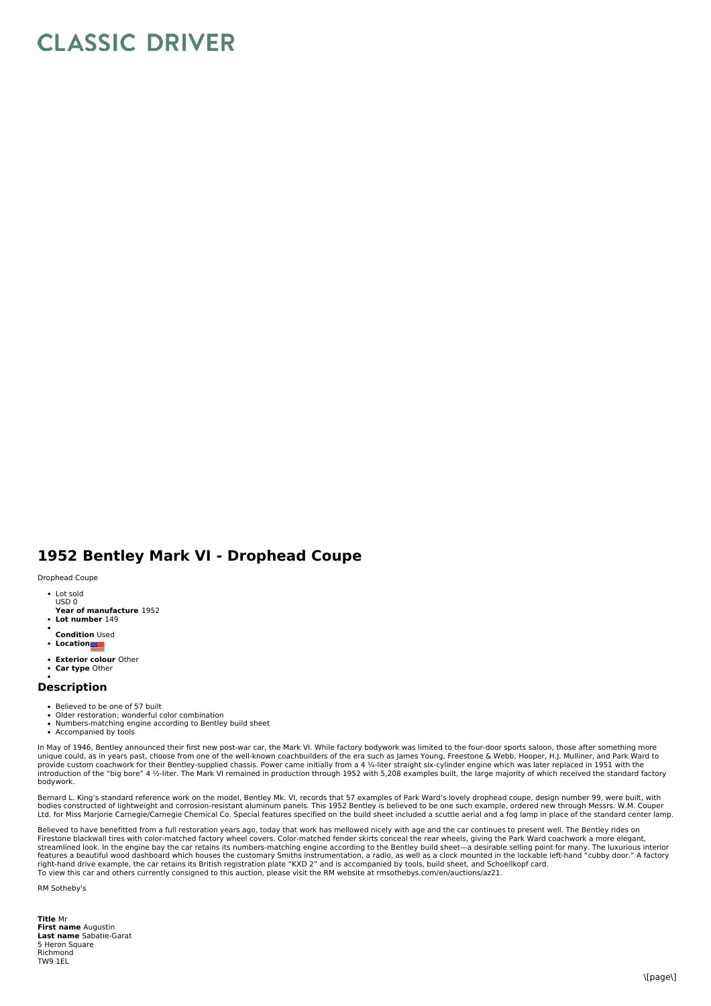## **CLASSIC DRIVER**

## **1952 Bentley Mark VI - Drophead Coupe**

## Drophead Coupe

- Lot sold USD 0
- **Year of manufacture** 1952
- **Lot number** 149
- **Condition** Used
- **Location**
- **Exterior colour** Other
- **Car type** Other

## **Description**

- 
- Believed to be one of 57 built<br>Older restoration; wonderful color combination
- Numbers-matching engine according to Bentley build sheet
- Accompanied by tools

In May of 1946, Bentley announced their first new post-war car, the Mark VI. While factory bodywork was limited to the four-door sports saloon, those after something more<br>provide custom coachwork for their Bentley-supplied bodywork.

Bernard L. King's standard reference work on the model, Bentley Mk. VI, records that 57 examples of Park Ward's lovely drophead coupe, design number 99, were built, with bodies constructed of lightweight and corrosion-resistant aluminum panels. This 1952 Bentley is believed to be one such example, ordered new through Messrs. W.M. Couper<br>Ltd. for Miss Marjorie Carnegie/Carnegie Chemical Co.

Believed to have benefitted from a full restoration years ago, today that work has mellowed nicely with age and the car continues to present well. The Bentley rides on<br>Firestone blackwall tires with color-matched factory w streamlined look. In the engine bay the car retains its numbers-matching engine according to the Bentley build sheet—a desirable selling point for many. The luxurious interior<br>features a beautiful wood dashboard which hous right-hand drive example, the car retains its British registration plate "KXD 2" and is accompanied by tools, build sheet, and Schoellkopf card.<br>To view this car and others currently consigned to this auction, please visit

RM Sotheby's

**Title** Mr **First name** Augustin **Last name** Sabatie-Garat 5 Heron Square Richmond TWQ 1EL